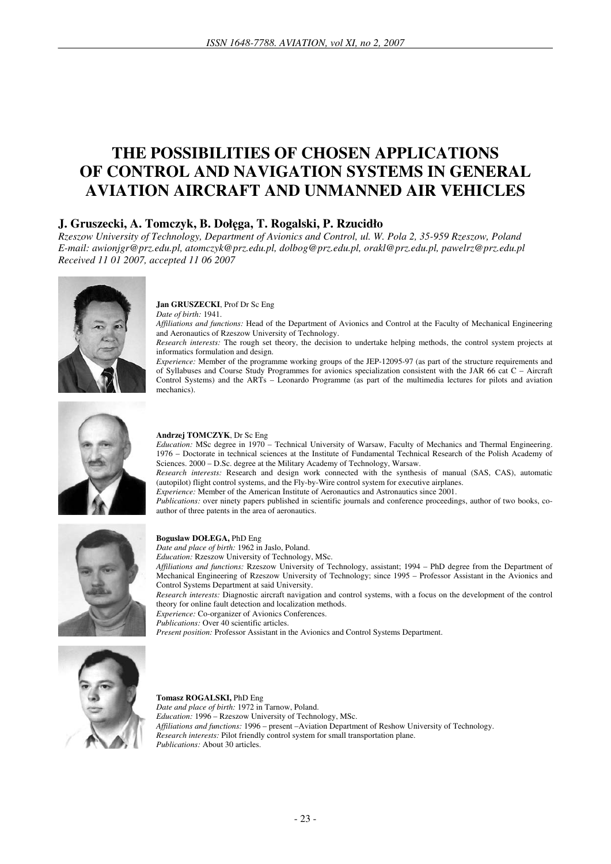# **THE POSSIBILITIES OF CHOSEN APPLICATIONS OF CONTROL AND NAVIGATION SYSTEMS IN GENERAL AVIATION AIRCRAFT AND UNMANNED AIR VEHICLES**

# **J. Gruszecki, A. Tomczyk, B. Doł**ę**ga, T. Rogalski, P. Rzucidło**

*Rzeszow University of Technology, Department of Avionics and Control, ul. W. Pola 2, 35-959 Rzeszow, Poland E-mail: awionjgr@prz.edu.pl, atomczyk@prz.edu.pl, dolbog@prz.edu.pl, orakl@prz.edu.pl, pawelrz@prz.edu.pl Received 11 01 2007, accepted 11 06 2007* 



**Jan GRUSZECKI**, Prof Dr Sc Eng *Date of birth:* 1941.

*Affiliations and functions:* Head of the Department of Avionics and Control at the Faculty of Mechanical Engineering and Aeronautics of Rzeszow University of Technology.

*Research interests:* The rough set theory, the decision to undertake helping methods, the control system projects at informatics formulation and design.

*Experience:* Member of the programme working groups of the JEP-12095-97 (as part of the structure requirements and of Syllabuses and Course Study Programmes for avionics specialization consistent with the JAR 66 cat C – Aircraft Control Systems) and the ARTs – Leonardo Programme (as part of the multimedia lectures for pilots and aviation mechanics).



#### **Andrzej TOMCZYK**, Dr Sc Eng

*Education:* MSc degree in 1970 – Technical University of Warsaw, Faculty of Mechanics and Thermal Engineering. 1976 – Doctorate in technical sciences at the Institute of Fundamental Technical Research of the Polish Academy of Sciences. 2000 – D.Sc. degree at the Military Academy of Technology, Warsaw.

*Research interests:* Research and design work connected with the synthesis of manual (SAS, CAS), automatic (autopilot) flight control systems, and the Fly-by-Wire control system for executive airplanes.

*Experience:* Member of the American Institute of Aeronautics and Astronautics since 2001.

*Publications:* over ninety papers published in scientific journals and conference proceedings, author of two books, coauthor of three patents in the area of aeronautics.



#### **Boguslaw DOŁEGA,** PhD Eng

*Date and place of birth:* 1962 in Jaslo, Poland.

*Education:* Rzeszow University of Technology, MSc.

*Affiliations and functions:* Rzeszow University of Technology, assistant; 1994 – PhD degree from the Department of Mechanical Engineering of Rzeszow University of Technology; since 1995 – Professor Assistant in the Avionics and Control Systems Department at said University.

*Research interests:* Diagnostic aircraft navigation and control systems, with a focus on the development of the control theory for online fault detection and localization methods.

*Experience:* Co-organizer of Avionics Conferences.

*Publications:* Over 40 scientific articles.

*Present position:* Professor Assistant in the Avionics and Control Systems Department.



#### **Tomasz ROGALSKI,** PhD Eng *Date and place of birth:* 1972 in Tarnow, Poland. *Education:* 1996 – Rzeszow University of Technology, MSc. *Affiliations and functions:* 1996 – present –Aviation Department of Reshow University of Technology. *Research interests:* Pilot friendly control system for small transportation plane. *Publications:* About 30 articles.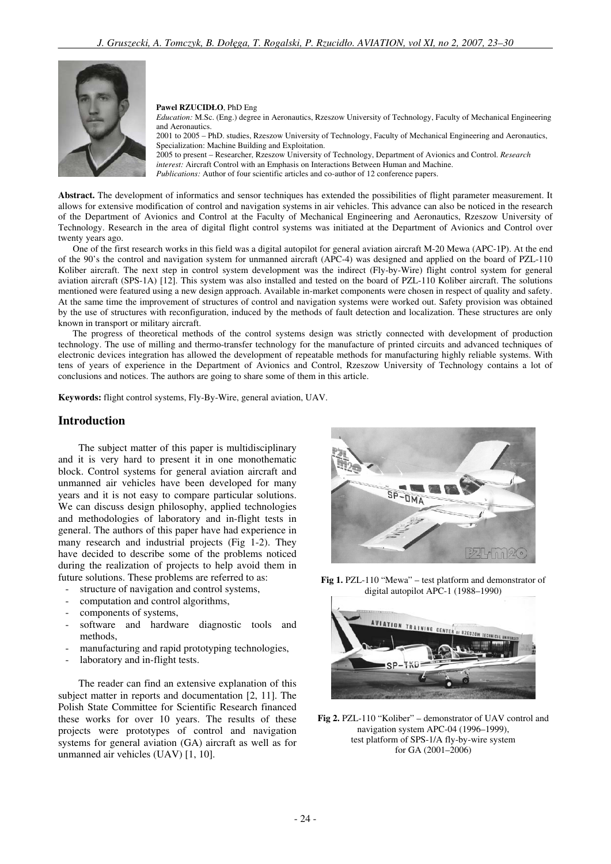

**Pawel RZUCIDŁO**, PhD Eng

*Education:* M.Sc. (Eng.) degree in Aeronautics, Rzeszow University of Technology, Faculty of Mechanical Engineering and Aeronautics. 2001 to 2005 – PhD. studies, Rzeszow University of Technology, Faculty of Mechanical Engineering and Aeronautics, Specialization: Machine Building and Exploitation.

2005 to present – Researcher, Rzeszow University of Technology, Department of Avionics and Control. *Research interest:* Aircraft Control with an Emphasis on Interactions Between Human and Machine. *Publications:* Author of four scientific articles and co-author of 12 conference papers.

**Abstract.** The development of informatics and sensor techniques has extended the possibilities of flight parameter measurement. It allows for extensive modification of control and navigation systems in air vehicles. This advance can also be noticed in the research of the Department of Avionics and Control at the Faculty of Mechanical Engineering and Aeronautics, Rzeszow University of Technology. Research in the area of digital flight control systems was initiated at the Department of Avionics and Control over twenty years ago.

One of the first research works in this field was a digital autopilot for general aviation aircraft M-20 Mewa (APC-1P). At the end of the 90's the control and navigation system for unmanned aircraft (APC-4) was designed and applied on the board of PZL-110 Koliber aircraft. The next step in control system development was the indirect (Fly-by-Wire) flight control system for general aviation aircraft (SPS-1A) [12]. This system was also installed and tested on the board of PZL-110 Koliber aircraft. The solutions mentioned were featured using a new design approach. Available in-market components were chosen in respect of quality and safety. At the same time the improvement of structures of control and navigation systems were worked out. Safety provision was obtained by the use of structures with reconfiguration, induced by the methods of fault detection and localization. These structures are only known in transport or military aircraft.

The progress of theoretical methods of the control systems design was strictly connected with development of production technology. The use of milling and thermo-transfer technology for the manufacture of printed circuits and advanced techniques of electronic devices integration has allowed the development of repeatable methods for manufacturing highly reliable systems. With tens of years of experience in the Department of Avionics and Control, Rzeszow University of Technology contains a lot of conclusions and notices. The authors are going to share some of them in this article.

**Keywords:** flight control systems, Fly-By-Wire, general aviation, UAV.

### **Introduction**

The subject matter of this paper is multidisciplinary and it is very hard to present it in one monothematic block. Control systems for general aviation aircraft and unmanned air vehicles have been developed for many years and it is not easy to compare particular solutions. We can discuss design philosophy, applied technologies and methodologies of laboratory and in-flight tests in general. The authors of this paper have had experience in many research and industrial projects (Fig 1-2). They have decided to describe some of the problems noticed during the realization of projects to help avoid them in future solutions. These problems are referred to as:

- structure of navigation and control systems,
- computation and control algorithms,
- components of systems,
- software and hardware diagnostic tools and methods,
- manufacturing and rapid prototyping technologies,
- laboratory and in-flight tests.

The reader can find an extensive explanation of this subject matter in reports and documentation [2, 11]. The Polish State Committee for Scientific Research financed these works for over 10 years. The results of these projects were prototypes of control and navigation systems for general aviation (GA) aircraft as well as for unmanned air vehicles (UAV) [1, 10].



**Fig 1.** PZL-110 "Mewa" – test platform and demonstrator of digital autopilot APC-1 (1988–1990)



**Fig 2.** PZL-110 "Koliber" – demonstrator of UAV control and navigation system APC-04 (1996–1999), test platform of SPS-1/A fly-by-wire system for GA (2001–2006)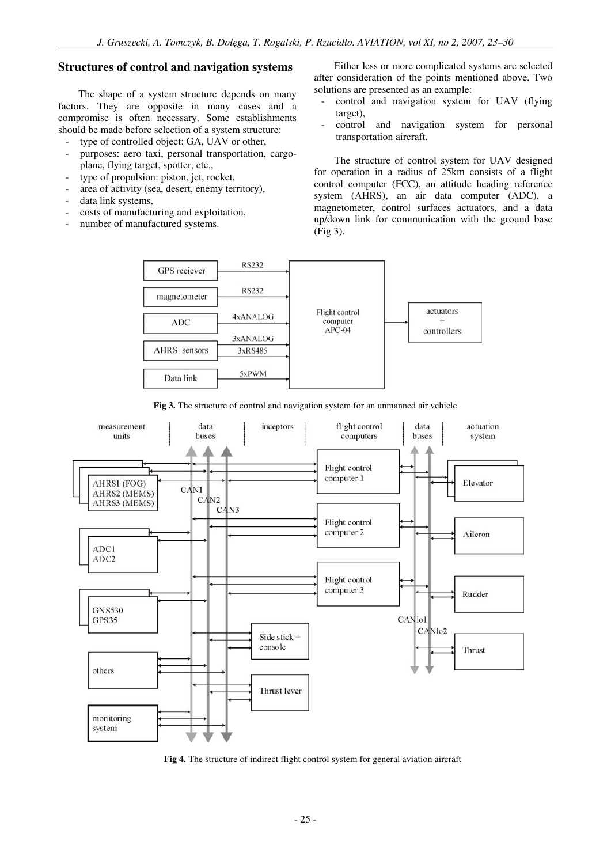### **Structures of control and navigation systems**

The shape of a system structure depends on many factors. They are opposite in many cases and a compromise is often necessary. Some establishments should be made before selection of a system structure:

- type of controlled object: GA, UAV or other,
- purposes: aero taxi, personal transportation, cargoplane, flying target, spotter, etc.,
- type of propulsion: piston, jet, rocket,
- area of activity (sea, desert, enemy territory),
- data link systems,
- costs of manufacturing and exploitation,
- number of manufactured systems.

Either less or more complicated systems are selected after consideration of the points mentioned above. Two solutions are presented as an example:

- control and navigation system for UAV (flying target),
- control and navigation system for personal transportation aircraft.

The structure of control system for UAV designed for operation in a radius of 25km consists of a flight control computer (FCC), an attitude heading reference system (AHRS), an air data computer (ADC), a magnetometer, control surfaces actuators, and a data up/down link for communication with the ground base (Fig 3).



**Fig 3.** The structure of control and navigation system for an unmanned air vehicle



**Fig 4.** The structure of indirect flight control system for general aviation aircraft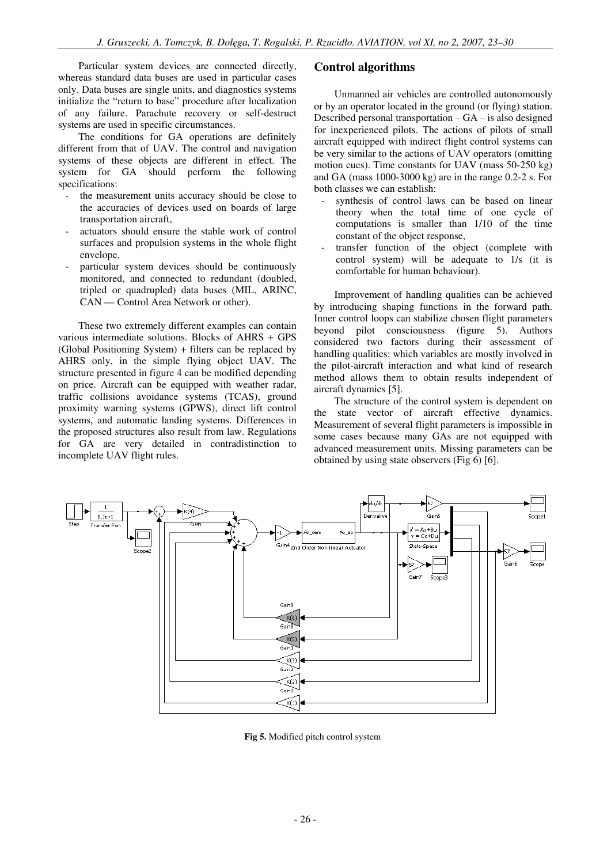Particular system devices are connected directly, whereas standard data buses are used in particular cases only. Data buses are single units, and diagnostics systems initialize the "return to base" procedure after localization of any failure. Parachute recovery or self-destruct systems are used in specific circumstances.

The conditions for GA operations are definitely different from that of UAV. The control and navigation systems of these objects are different in effect. The system for GA should perform the following specifications:

- the measurement units accuracy should be close to the accuracies of devices used on boards of large transportation aircraft,
- actuators should ensure the stable work of control surfaces and propulsion systems in the whole flight envelope,
- particular system devices should be continuously monitored, and connected to redundant (doubled, tripled or quadrupled) data buses (MIL, ARINC, CAN — Control Area Network or other).

These two extremely different examples can contain various intermediate solutions. Blocks of AHRS + GPS (Global Positioning System) + filters can be replaced by AHRS only, in the simple flying object UAV. The structure presented in figure 4 can be modified depending on price. Aircraft can be equipped with weather radar, traffic collisions avoidance systems (TCAS), ground proximity warning systems (GPWS), direct lift control systems, and automatic landing systems. Differences in the proposed structures also result from law. Regulations for GA are very detailed in contradistinction to incomplete UAV flight rules.

#### **Control algorithms**

Unmanned air vehicles are controlled autonomously or by an operator located in the ground (or flying) station. Described personal transportation – GA – is also designed for inexperienced pilots. The actions of pilots of small aircraft equipped with indirect flight control systems can be very similar to the actions of UAV operators (omitting motion cues). Time constants for UAV (mass 50-250 kg) and GA (mass 1000-3000 kg) are in the range 0.2-2 s. For both classes we can establish:

- synthesis of control laws can be based on linear theory when the total time of one cycle of computations is smaller than 1/10 of the time constant of the object response,
- transfer function of the object (complete with control system) will be adequate to 1/s (it is comfortable for human behaviour).

Improvement of handling qualities can be achieved by introducing shaping functions in the forward path. Inner control loops can stabilize chosen flight parameters beyond pilot consciousness (figure 5). Authors considered two factors during their assessment of handling qualities: which variables are mostly involved in the pilot-aircraft interaction and what kind of research method allows them to obtain results independent of aircraft dynamics [5].

The structure of the control system is dependent on the state vector of aircraft effective dynamics. Measurement of several flight parameters is impossible in some cases because many GAs are not equipped with advanced measurement units. Missing parameters can be obtained by using state observers (Fig 6) [6].



**Fig 5.** Modified pitch control system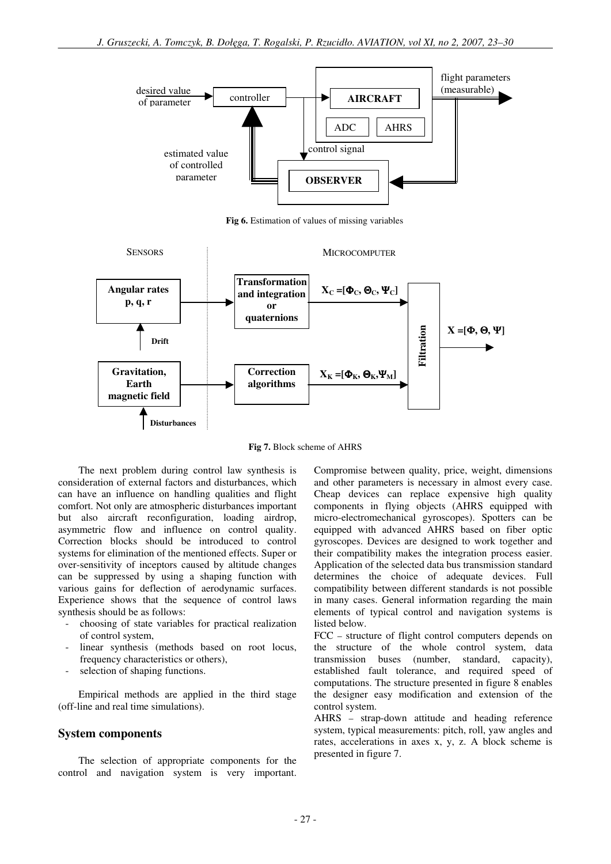

**Fig 6.** Estimation of values of missing variables



**Fig 7.** Block scheme of AHRS

The next problem during control law synthesis is consideration of external factors and disturbances, which can have an influence on handling qualities and flight comfort. Not only are atmospheric disturbances important but also aircraft reconfiguration, loading airdrop, asymmetric flow and influence on control quality. Correction blocks should be introduced to control systems for elimination of the mentioned effects. Super or over-sensitivity of inceptors caused by altitude changes can be suppressed by using a shaping function with various gains for deflection of aerodynamic surfaces. Experience shows that the sequence of control laws synthesis should be as follows:

- choosing of state variables for practical realization of control system,
- linear synthesis (methods based on root locus, frequency characteristics or others),
- selection of shaping functions.

Empirical methods are applied in the third stage (off-line and real time simulations).

#### **System components**

The selection of appropriate components for the control and navigation system is very important.

Compromise between quality, price, weight, dimensions and other parameters is necessary in almost every case. Cheap devices can replace expensive high quality components in flying objects (AHRS equipped with micro-electromechanical gyroscopes). Spotters can be equipped with advanced AHRS based on fiber optic gyroscopes. Devices are designed to work together and their compatibility makes the integration process easier. Application of the selected data bus transmission standard determines the choice of adequate devices. Full compatibility between different standards is not possible in many cases. General information regarding the main elements of typical control and navigation systems is listed below.

FCC – structure of flight control computers depends on the structure of the whole control system, data transmission buses (number, standard, capacity), established fault tolerance, and required speed of computations. The structure presented in figure 8 enables the designer easy modification and extension of the control system.

AHRS – strap-down attitude and heading reference system, typical measurements: pitch, roll, yaw angles and rates, accelerations in axes x, y, z. A block scheme is presented in figure 7.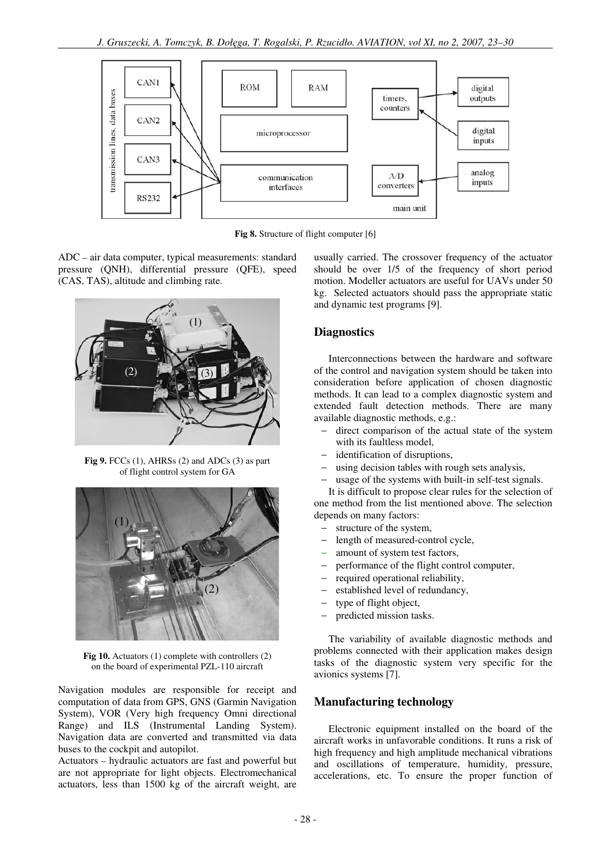

**Fig 8.** Structure of flight computer [6]

ADC – air data computer, typical measurements: standard pressure (QNH), differential pressure (QFE), speed (CAS, TAS), altitude and climbing rate.



**Fig 9.** FCCs (1), AHRSs (2) and ADCs (3) as part of flight control system for GA



**Fig 10.** Actuators (1) complete with controllers (2) on the board of experimental PZL-110 aircraft

Navigation modules are responsible for receipt and computation of data from GPS, GNS (Garmin Navigation System), VOR (Very high frequency Omni directional Range) and ILS (Instrumental Landing System). Navigation data are converted and transmitted via data buses to the cockpit and autopilot.

Actuators – hydraulic actuators are fast and powerful but are not appropriate for light objects. Electromechanical actuators, less than 1500 kg of the aircraft weight, are

usually carried. The crossover frequency of the actuator should be over 1/5 of the frequency of short period motion. Modeller actuators are useful for UAVs under 50 kg. Selected actuators should pass the appropriate static and dynamic test programs [9].

# **Diagnostics**

Interconnections between the hardware and software of the control and navigation system should be taken into consideration before application of chosen diagnostic methods. It can lead to a complex diagnostic system and extended fault detection methods. There are many available diagnostic methods, e.g.:

- direct comparison of the actual state of the system with its faultless model,
- identification of disruptions,
- using decision tables with rough sets analysis,
- usage of the systems with built-in self-test signals.

It is difficult to propose clear rules for the selection of one method from the list mentioned above. The selection depends on many factors:

- structure of the system,
- length of measured-control cycle,
- amount of system test factors,
- − performance of the flight control computer,
- − required operational reliability,
- − established level of redundancy,
- type of flight object,
- − predicted mission tasks.

The variability of available diagnostic methods and problems connected with their application makes design tasks of the diagnostic system very specific for the avionics systems [7].

### **Manufacturing technology**

Electronic equipment installed on the board of the aircraft works in unfavorable conditions. It runs a risk of high frequency and high amplitude mechanical vibrations and oscillations of temperature, humidity, pressure, accelerations, etc. To ensure the proper function of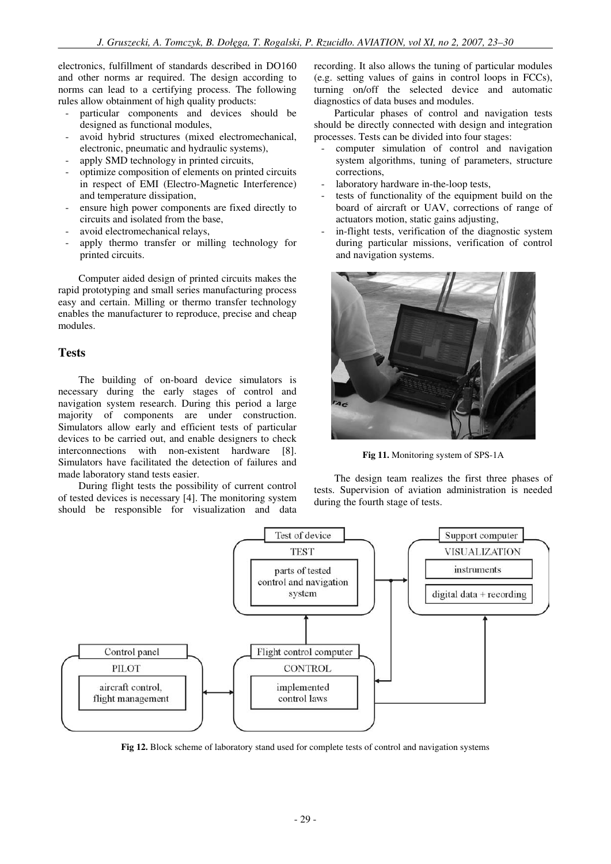electronics, fulfillment of standards described in DO160 and other norms ar required. The design according to norms can lead to a certifying process. The following rules allow obtainment of high quality products:

- particular components and devices should be designed as functional modules,
- avoid hybrid structures (mixed electromechanical, electronic, pneumatic and hydraulic systems),
- apply SMD technology in printed circuits,
- optimize composition of elements on printed circuits in respect of EMI (Electro-Magnetic Interference) and temperature dissipation,
- ensure high power components are fixed directly to circuits and isolated from the base,
- avoid electromechanical relays,
- apply thermo transfer or milling technology for printed circuits.

Computer aided design of printed circuits makes the rapid prototyping and small series manufacturing process easy and certain. Milling or thermo transfer technology enables the manufacturer to reproduce, precise and cheap modules.

### **Tests**

The building of on-board device simulators is necessary during the early stages of control and navigation system research. During this period a large majority of components are under construction. Simulators allow early and efficient tests of particular devices to be carried out, and enable designers to check interconnections with non-existent hardware [8]. Simulators have facilitated the detection of failures and made laboratory stand tests easier.

During flight tests the possibility of current control of tested devices is necessary [4]. The monitoring system should be responsible for visualization and data recording. It also allows the tuning of particular modules (e.g. setting values of gains in control loops in FCCs), turning on/off the selected device and automatic diagnostics of data buses and modules.

Particular phases of control and navigation tests should be directly connected with design and integration processes. Tests can be divided into four stages:

- computer simulation of control and navigation system algorithms, tuning of parameters, structure corrections,
- laboratory hardware in-the-loop tests,
- tests of functionality of the equipment build on the board of aircraft or UAV, corrections of range of actuators motion, static gains adjusting,
- in-flight tests, verification of the diagnostic system during particular missions, verification of control and navigation systems.



**Fig 11.** Monitoring system of SPS-1A

The design team realizes the first three phases of tests. Supervision of aviation administration is needed during the fourth stage of tests.



**Fig 12.** Block scheme of laboratory stand used for complete tests of control and navigation systems